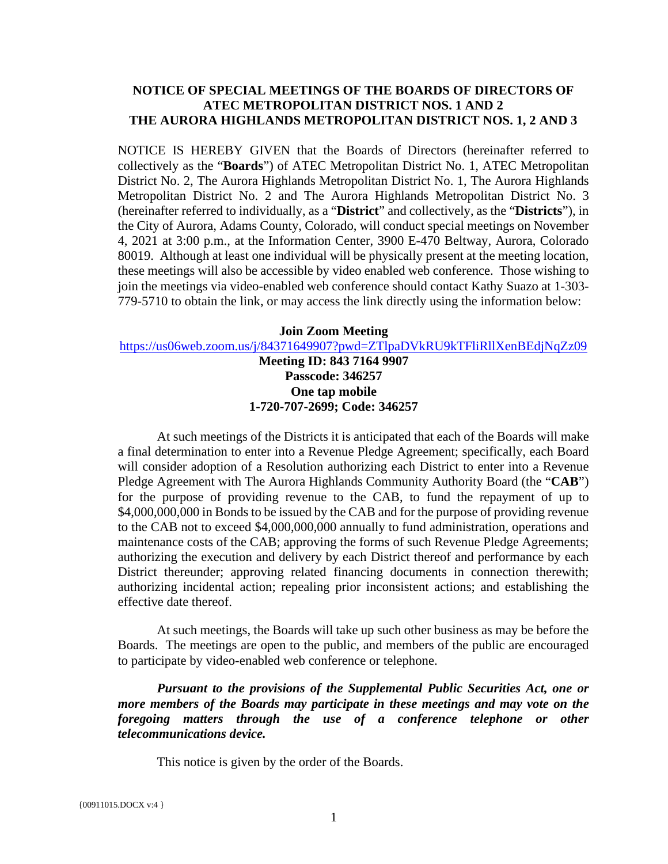#### **NOTICE OF SPECIAL MEETINGS OF THE BOARDS OF DIRECTORS OF ATEC METROPOLITAN DISTRICT NOS. 1 AND 2 THE AURORA HIGHLANDS METROPOLITAN DISTRICT NOS. 1, 2 AND 3**

NOTICE IS HEREBY GIVEN that the Boards of Directors (hereinafter referred to collectively as the "**Boards**") of ATEC Metropolitan District No. 1, ATEC Metropolitan District No. 2, The Aurora Highlands Metropolitan District No. 1, The Aurora Highlands Metropolitan District No. 2 and The Aurora Highlands Metropolitan District No. 3 (hereinafter referred to individually, as a "**District**" and collectively, as the "**Districts**"), in the City of Aurora, Adams County, Colorado, will conduct special meetings on November 4, 2021 at 3:00 p.m., at the Information Center, 3900 E-470 Beltway, Aurora, Colorado 80019. Although at least one individual will be physically present at the meeting location, these meetings will also be accessible by video enabled web conference. Those wishing to join the meetings via video-enabled web conference should contact Kathy Suazo at 1-303- 779-5710 to obtain the link, or may access the link directly using the information below:

**Join Zoom Meeting** <https://us06web.zoom.us/j/84371649907?pwd=ZTlpaDVkRU9kTFliRllXenBEdjNqZz09>

> **Meeting ID: 843 7164 9907 Passcode: 346257 One tap mobile 1-720-707-2699; Code: 346257**

At such meetings of the Districts it is anticipated that each of the Boards will make a final determination to enter into a Revenue Pledge Agreement; specifically, each Board will consider adoption of a Resolution authorizing each District to enter into a Revenue Pledge Agreement with The Aurora Highlands Community Authority Board (the "**CAB**") for the purpose of providing revenue to the CAB, to fund the repayment of up to \$4,000,000,000 in Bonds to be issued by the CAB and for the purpose of providing revenue to the CAB not to exceed \$4,000,000,000 annually to fund administration, operations and maintenance costs of the CAB; approving the forms of such Revenue Pledge Agreements; authorizing the execution and delivery by each District thereof and performance by each District thereunder; approving related financing documents in connection therewith; authorizing incidental action; repealing prior inconsistent actions; and establishing the effective date thereof.

At such meetings, the Boards will take up such other business as may be before the Boards. The meetings are open to the public, and members of the public are encouraged to participate by video-enabled web conference or telephone.

*Pursuant to the provisions of the Supplemental Public Securities Act, one or more members of the Boards may participate in these meetings and may vote on the foregoing matters through the use of a conference telephone or other telecommunications device.*

This notice is given by the order of the Boards.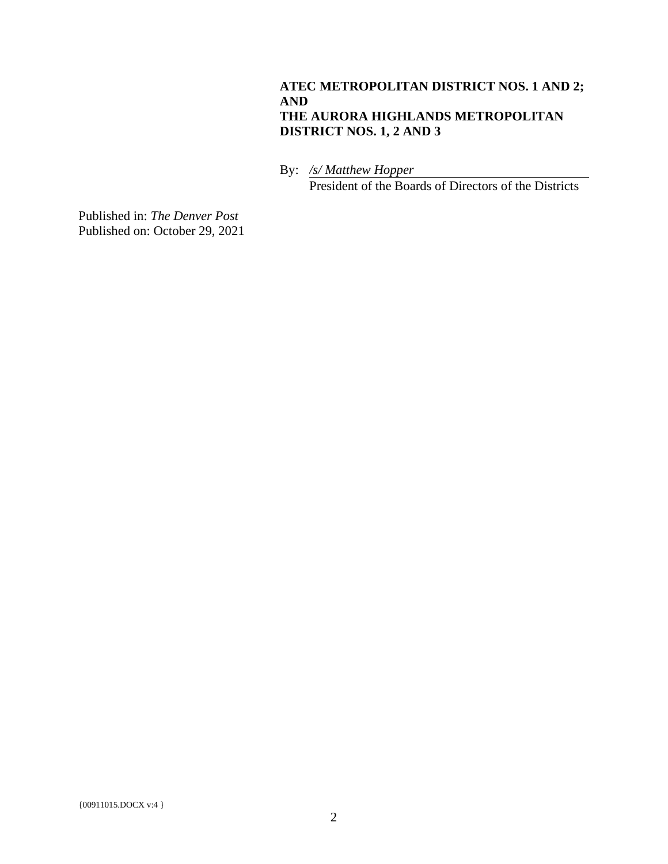#### **ATEC METROPOLITAN DISTRICT NOS. 1 AND 2; AND THE AURORA HIGHLANDS METROPOLITAN DISTRICT NOS. 1, 2 AND 3**

By: */s/ Matthew Hopper* President of the Boards of Directors of the Districts

Published in: *The Denver Post* Published on: October 29, 2021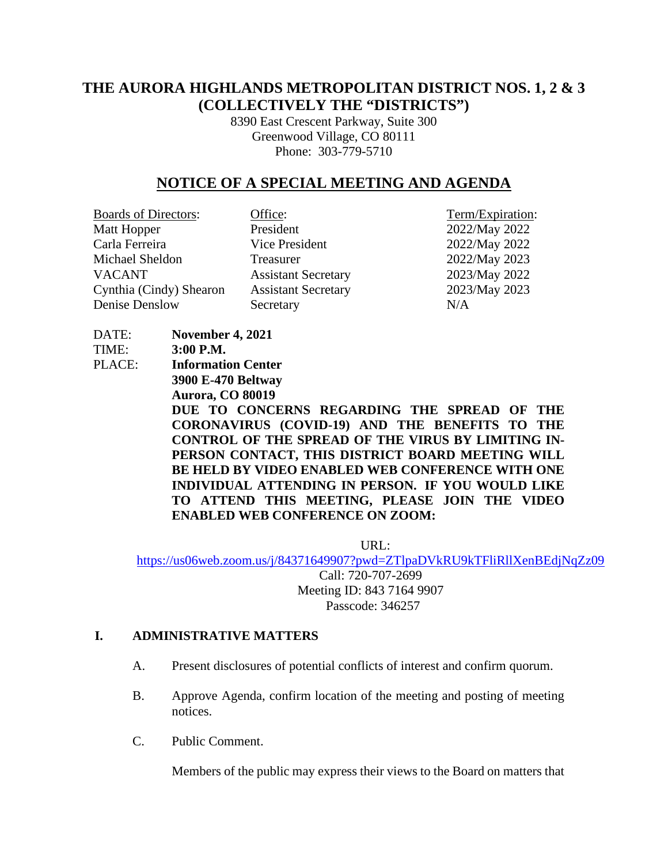# **THE AURORA HIGHLANDS METROPOLITAN DISTRICT NOS. 1, 2 & 3 (COLLECTIVELY THE "DISTRICTS")**

8390 East Crescent Parkway, Suite 300 Greenwood Village, CO 80111 Phone: 303-779-5710

# **NOTICE OF A SPECIAL MEETING AND AGENDA**

| <b>Boards of Directors:</b> | Office:                    | Term/Expiration: |
|-----------------------------|----------------------------|------------------|
| Matt Hopper                 | President                  | 2022/May 2022    |
| Carla Ferreira              | Vice President             | 2022/May 2022    |
| Michael Sheldon             | Treasurer                  | 2022/May 2023    |
| <b>VACANT</b>               | <b>Assistant Secretary</b> | 2023/May 2022    |
| Cynthia (Cindy) Shearon     | <b>Assistant Secretary</b> | 2023/May 2023    |
| Denise Denslow              | Secretary                  | N/A              |
|                             |                            |                  |

TIME: **3:00 P.M.** PLACE: **Information Center 3900 E-470 Beltway Aurora, CO 80019 DUE TO CONCERNS REGARDING THE SPREAD OF THE CORONAVIRUS (COVID-19) AND THE BENEFITS TO THE CONTROL OF THE SPREAD OF THE VIRUS BY LIMITING IN-PERSON CONTACT, THIS DISTRICT BOARD MEETING WILL BE HELD BY VIDEO ENABLED WEB CONFERENCE WITH ONE INDIVIDUAL ATTENDING IN PERSON. IF YOU WOULD LIKE TO ATTEND THIS MEETING, PLEASE JOIN THE VIDEO ENABLED WEB CONFERENCE ON ZOOM:**

URL:

<https://us06web.zoom.us/j/84371649907?pwd=ZTlpaDVkRU9kTFliRllXenBEdjNqZz09> Call: 720-707-2699 Meeting ID: 843 7164 9907 Passcode: 346257

#### **I. ADMINISTRATIVE MATTERS**

DATE: **November 4, 2021** 

- A. Present disclosures of potential conflicts of interest and confirm quorum.
- B. Approve Agenda, confirm location of the meeting and posting of meeting notices.
- C. Public Comment.

Members of the public may express their views to the Board on matters that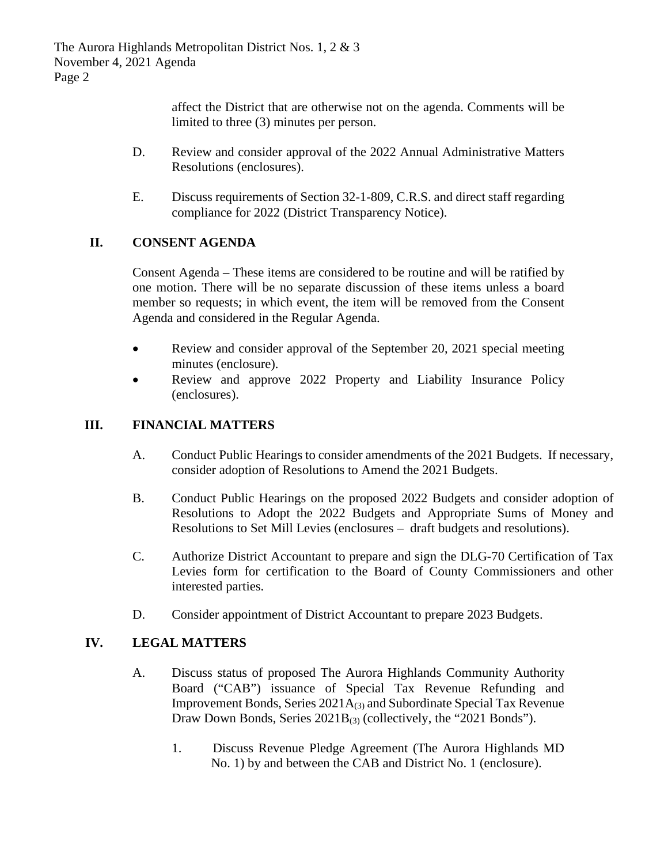The Aurora Highlands Metropolitan District Nos. 1, 2 & 3 November 4, 2021 Agenda Page 2

> affect the District that are otherwise not on the agenda. Comments will be limited to three (3) minutes per person.

- D. Review and consider approval of the 2022 Annual Administrative Matters Resolutions (enclosures).
- E. Discuss requirements of Section 32-1-809, C.R.S. and direct staff regarding compliance for 2022 (District Transparency Notice).

## **II. CONSENT AGENDA**

Consent Agenda – These items are considered to be routine and will be ratified by one motion. There will be no separate discussion of these items unless a board member so requests; in which event, the item will be removed from the Consent Agenda and considered in the Regular Agenda.

- Review and consider approval of the September 20, 2021 special meeting minutes (enclosure).
- Review and approve 2022 Property and Liability Insurance Policy (enclosures).

## **III. FINANCIAL MATTERS**

- A. Conduct Public Hearings to consider amendments of the 2021 Budgets. If necessary, consider adoption of Resolutions to Amend the 2021 Budgets.
- B. Conduct Public Hearings on the proposed 2022 Budgets and consider adoption of Resolutions to Adopt the 2022 Budgets and Appropriate Sums of Money and Resolutions to Set Mill Levies (enclosures – draft budgets and resolutions).
- C. Authorize District Accountant to prepare and sign the DLG-70 Certification of Tax Levies form for certification to the Board of County Commissioners and other interested parties.
- D. Consider appointment of District Accountant to prepare 2023 Budgets.

## **IV. LEGAL MATTERS**

- A. Discuss status of proposed The Aurora Highlands Community Authority Board ("CAB") issuance of Special Tax Revenue Refunding and Improvement Bonds, Series 2021A(3) and Subordinate Special Tax Revenue Draw Down Bonds, Series 2021B<sub>(3)</sub> (collectively, the "2021 Bonds").
	- 1. Discuss Revenue Pledge Agreement (The Aurora Highlands MD No. 1) by and between the CAB and District No. 1 (enclosure).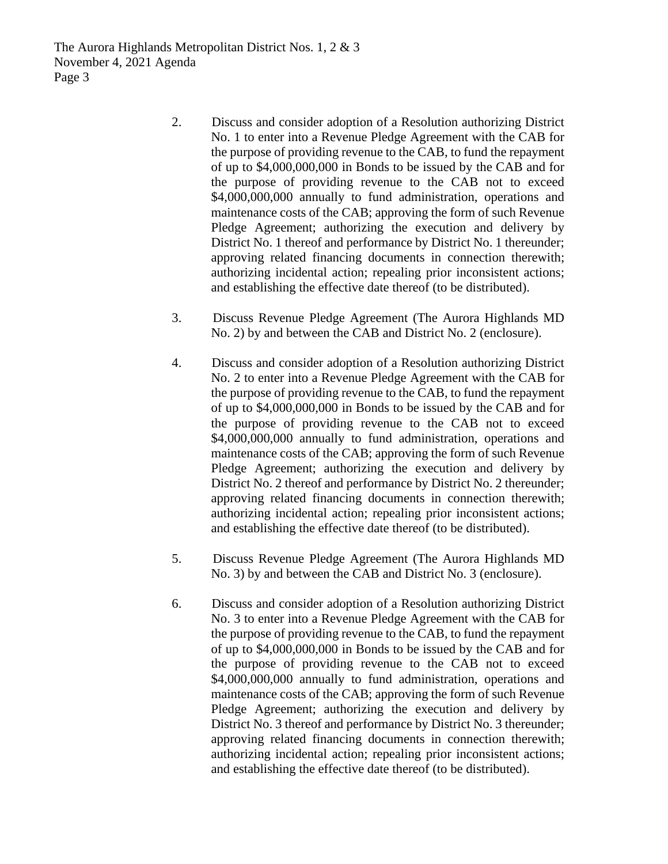The Aurora Highlands Metropolitan District Nos. 1, 2 & 3 November 4, 2021 Agenda Page 3

- 2. Discuss and consider adoption of a Resolution authorizing District No. 1 to enter into a Revenue Pledge Agreement with the CAB for the purpose of providing revenue to the CAB, to fund the repayment of up to \$4,000,000,000 in Bonds to be issued by the CAB and for the purpose of providing revenue to the CAB not to exceed \$4,000,000,000 annually to fund administration, operations and maintenance costs of the CAB; approving the form of such Revenue Pledge Agreement; authorizing the execution and delivery by District No. 1 thereof and performance by District No. 1 thereunder; approving related financing documents in connection therewith; authorizing incidental action; repealing prior inconsistent actions; and establishing the effective date thereof (to be distributed).
- 3. Discuss Revenue Pledge Agreement (The Aurora Highlands MD No. 2) by and between the CAB and District No. 2 (enclosure).
- 4. Discuss and consider adoption of a Resolution authorizing District No. 2 to enter into a Revenue Pledge Agreement with the CAB for the purpose of providing revenue to the CAB, to fund the repayment of up to \$4,000,000,000 in Bonds to be issued by the CAB and for the purpose of providing revenue to the CAB not to exceed \$4,000,000,000 annually to fund administration, operations and maintenance costs of the CAB; approving the form of such Revenue Pledge Agreement; authorizing the execution and delivery by District No. 2 thereof and performance by District No. 2 thereunder; approving related financing documents in connection therewith; authorizing incidental action; repealing prior inconsistent actions; and establishing the effective date thereof (to be distributed).
- 5. Discuss Revenue Pledge Agreement (The Aurora Highlands MD No. 3) by and between the CAB and District No. 3 (enclosure).
- 6. Discuss and consider adoption of a Resolution authorizing District No. 3 to enter into a Revenue Pledge Agreement with the CAB for the purpose of providing revenue to the CAB, to fund the repayment of up to \$4,000,000,000 in Bonds to be issued by the CAB and for the purpose of providing revenue to the CAB not to exceed \$4,000,000,000 annually to fund administration, operations and maintenance costs of the CAB; approving the form of such Revenue Pledge Agreement; authorizing the execution and delivery by District No. 3 thereof and performance by District No. 3 thereunder; approving related financing documents in connection therewith; authorizing incidental action; repealing prior inconsistent actions; and establishing the effective date thereof (to be distributed).